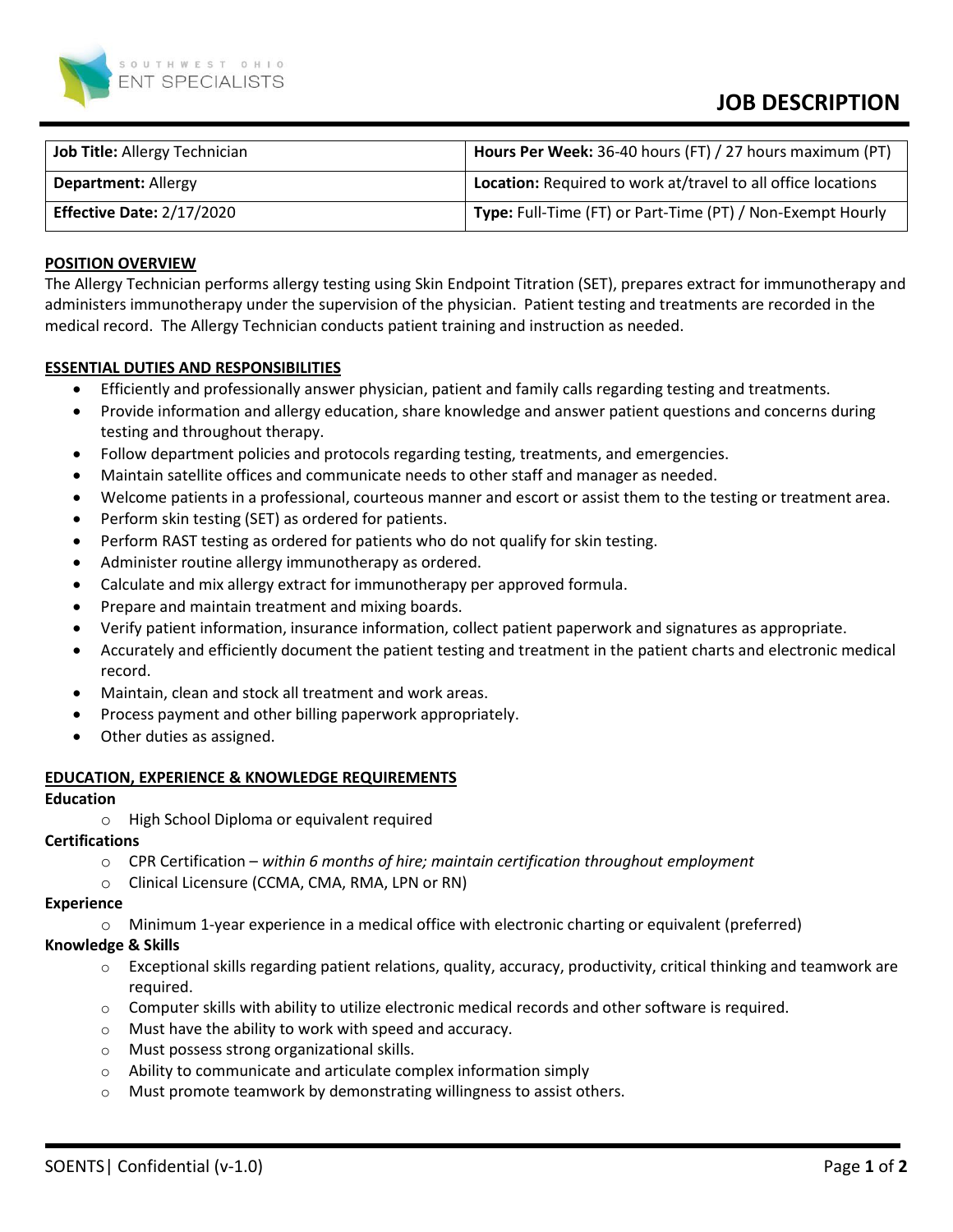

# **JOB DESCRIPTION**

| <b>Job Title: Allergy Technician</b> | Hours Per Week: 36-40 hours (FT) / 27 hours maximum (PT)            |
|--------------------------------------|---------------------------------------------------------------------|
| <b>Department: Allergy</b>           | <b>Location:</b> Required to work at/travel to all office locations |
| Effective Date: 2/17/2020            | Type: Full-Time (FT) or Part-Time (PT) / Non-Exempt Hourly          |

### **POSITION OVERVIEW**

The Allergy Technician performs allergy testing using Skin Endpoint Titration (SET), prepares extract for immunotherapy and administers immunotherapy under the supervision of the physician. Patient testing and treatments are recorded in the medical record. The Allergy Technician conducts patient training and instruction as needed.

## **ESSENTIAL DUTIES AND RESPONSIBILITIES**

- Efficiently and professionally answer physician, patient and family calls regarding testing and treatments.
- Provide information and allergy education, share knowledge and answer patient questions and concerns during testing and throughout therapy.
- Follow department policies and protocols regarding testing, treatments, and emergencies.
- Maintain satellite offices and communicate needs to other staff and manager as needed.
- Welcome patients in a professional, courteous manner and escort or assist them to the testing or treatment area.
- Perform skin testing (SET) as ordered for patients.
- Perform RAST testing as ordered for patients who do not qualify for skin testing.
- Administer routine allergy immunotherapy as ordered.
- Calculate and mix allergy extract for immunotherapy per approved formula.
- Prepare and maintain treatment and mixing boards.
- Verify patient information, insurance information, collect patient paperwork and signatures as appropriate.
- Accurately and efficiently document the patient testing and treatment in the patient charts and electronic medical record.
- Maintain, clean and stock all treatment and work areas.
- Process payment and other billing paperwork appropriately.
- Other duties as assigned.

## **EDUCATION, EXPERIENCE & KNOWLEDGE REQUIREMENTS**

#### **Education**

o High School Diploma or equivalent required

## **Certifications**

- o CPR Certification *within 6 months of hire; maintain certification throughout employment*
- o Clinical Licensure (CCMA, CMA, RMA, LPN or RN)

#### **Experience**

o Minimum 1-year experience in a medical office with electronic charting or equivalent (preferred)

## **Knowledge & Skills**

- $\circ$  Exceptional skills regarding patient relations, quality, accuracy, productivity, critical thinking and teamwork are required.
- $\circ$  Computer skills with ability to utilize electronic medical records and other software is required.
- o Must have the ability to work with speed and accuracy.
- o Must possess strong organizational skills.
- o Ability to communicate and articulate complex information simply
- Must promote teamwork by demonstrating willingness to assist others.